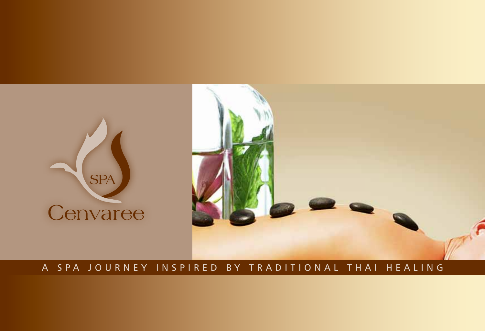

# A SPA JOURNEY INSPIRED BY TRADITIONAL THAI HEALING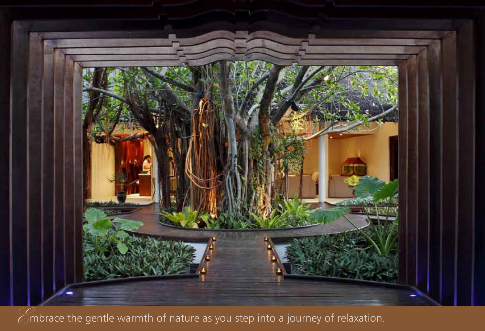

 $\widehat{\mathscr{L}}$ mbrace the gentle warmth of nature as you step into a journey of relaxation.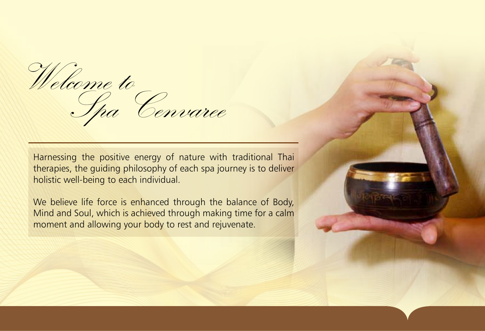Welcome to Spa Cenvaree

Harnessing the positive energy of nature with traditional Thai therapies, the guiding philosophy of each spa journey is to deliver holistic well-being to each individual.

We believe life force is enhanced through the balance of Body, Mind and Soul, which is achieved through making time for a calm moment and allowing your body to rest and rejuvenate.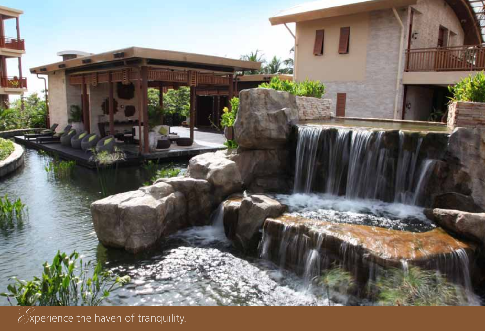

 $\mathcal{E}$ xperience the haven of tranquility.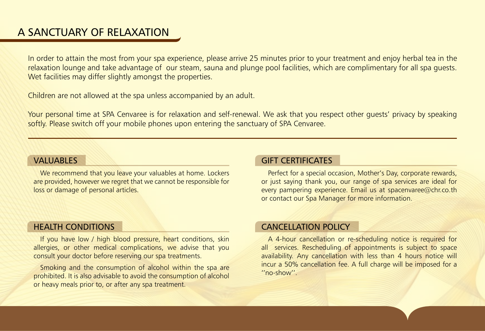# A SANCTUARY OF RELAXATION

In order to attain the most from your spa experience, please arrive 25 minutes prior to your treatment and enjoy herbal tea in the relaxation lounge and take advantage of our steam, sauna and plunge pool facilities, which are complimentary for all spa guests. Wet facilities may differ slightly amongst the properties.

Children are not allowed at the spa unless accompanied by an adult.

Your personal time at SPA Cenvaree is for relaxation and self-renewal. We ask that you respect other guests' privacy by speaking softly. Please switch off your mobile phones upon entering the sanctuary of SPA Cenvaree.

## **VALUABLES**

We recommend that you leave your valuables at home. Lockers are provided, however we regret that we cannot be responsible for loss or damage of personal articles.

# HEALTH CONDITIONS

If you have low / high blood pressure, heart conditions, skin allergies, or other medical complications, we advise that you consult your doctor before reserving our spa treatments.

Smoking and the consumption of alcohol within the spa are prohibited. It is also advisable to avoid the consumption of alcohol or heavy meals prior to, or after any spa treatment.

## GIFT CERTIFICATES

Perfect for a special occasion, Mother's Day, corporate rewards, or just saying thank you, our range of spa services are ideal for every pampering experience. Email us at spacenvaree@chr.co.th or contact our Spa Manager for more information.

# CANCELLATION POLICY

A 4-hour cancellation or re-scheduling notice is required for all services. Rescheduling of appointments is subject to space availability. Any cancellation with less than 4 hours notice will incur a 50% cancellation fee. A full charge will be imposed for a ''no-show''.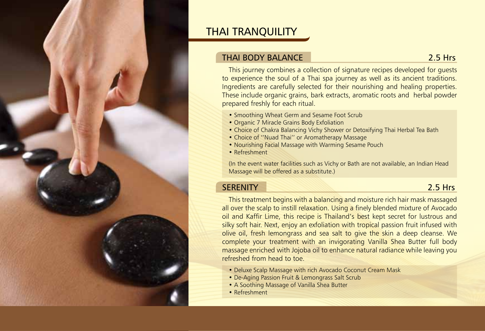

# THAI TRANQUILITY

# THAI BODY BALANCE 2.5 Hrs

This journey combines a collection of signature recipes developed for guests to experience the soul of a Thai spa journey as well as its ancient traditions. Ingredients are carefully selected for their nourishing and healing properties. These include organic grains, bark extracts, aromatic roots and herbal powder prepared freshly for each ritual.

- Smoothing Wheat Germ and Sesame Foot Scrub
- Organic 7 Miracle Grains Body Exfoliation
- Choice of Chakra Balancing Vichy Shower or Detoxifying Thai Herbal Tea Bath
- Choice of ''Nuad Thai'' or Aromatherapy Massage
- Nourishing Facial Massage with Warming Sesame Pouch
- Refreshment

(In the event water facilities such as Vichy or Bath are not available, an Indian Head Massage will be offered as a substitute.)

# SERENITY 2.5 Hrs

This treatment begins with a balancing and moisture rich hair mask massaged all over the scalp to instill relaxation. Using a finely blended mixture of Avocado oil and Kaffir Lime, this recipe is Thailand's best kept secret for lustrous and silky soft hair. Next, enjoy an exfoliation with tropical passion fruit infused with olive oil, fresh lemongrass and sea salt to give the skin a deep cleanse. We complete your treatment with an invigorating Vanilla Shea Butter full body massage enriched with Jojoba oil to enhance natural radiance while leaving you refreshed from head to toe.

- Deluxe Scalp Massage with rich Avocado Coconut Cream Mask
- De-Aging Passion Fruit & Lemongrass Salt Scrub
- A Soothing Massage of Vanilla Shea Butter
- Refreshment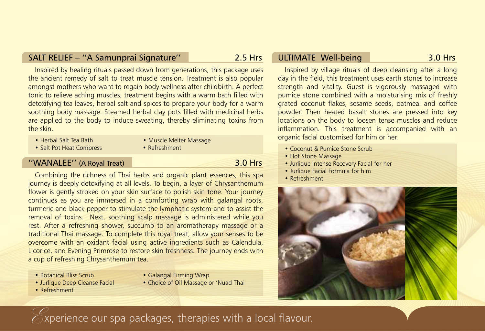## SALT RELIEF – ''A Samunprai Signature'' 2.5 Hrs

Inspired by healing rituals passed down from generations, this package uses the ancient remedy of salt to treat muscle tension. Treatment is also popular amongst mothers who want to regain body wellness after childbirth. A perfect tonic to relieve aching muscles, treatment begins with a warm bath filled with detoxifying tea leaves, herbal salt and spices to prepare your body for a warm soothing body massage. Steamed herbal clay pots filled with medicinal herbs are applied to the body to induce sweating, thereby eliminating toxins from the skin.

- Herbal Salt Tea Bath Muscle Melter Massage
- Salt Pot Heat Compress Refreshment
- 

# ''WANALEE'' (A Royal Treat) 3.0 Hrs

Combining the richness of Thai herbs and organic plant essences, this spa journey is deeply detoxifying at all levels. To begin, a layer of Chrysanthemum flower is gently stroked on your skin surface to polish skin tone. Your journey continues as you are immersed in a comforting wrap with galangal roots, turmeric and black pepper to stimulate the lymphatic system and to assist the removal of toxins. Next, soothing scalp massage is administered while you rest. After a refreshing shower, succumb to an aromatherapy massage or a traditional Thai massage. To complete this royal treat, allow your senses to be overcome with an oxidant facial using active ingredients such as Calendula, Licorice, and Evening Primrose to restore skin freshness. The journey ends with a cup of refreshing Chrysanthemum tea.

- 
- Botanical Bliss Scrub Galangal Firming Wrap
- Jurlique Deep Cleanse Facial Choice of Oil Massage or 'Nuad Thai
- Refreshment

# ULTIMATE Well-being 3.0 Hrs

Inspired by village rituals of deep cleansing after a long day in the field, this treatment uses earth stones to increase strength and vitality. Guest is vigorously massaged with pumice stone combined with a moisturising mix of freshly grated coconut flakes, sesame seeds, oatmeal and coffee powder. Then heated basalt stones are pressed into key locations on the body to loosen tense muscles and reduce inflammation. This treatment is accompanied with an organic facial customised for him or her.

- Coconut & Pumice Stone Scrub
- Hot Stone Massage
- Jurlique Intense Recovery Facial for her
- Jurlique Facial Formula for him
- Refreshment



# $\epsilon$  xperience our spa packages, therapies with a local flavour.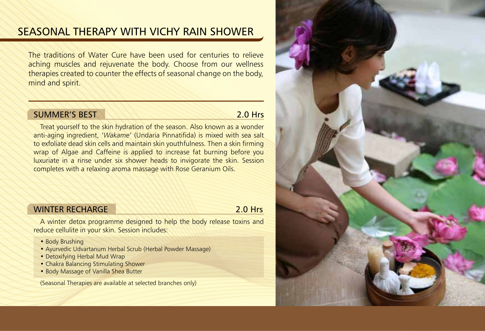# SEASONAL THERAPY WITH VICHY RAIN SHOWER

The traditions of Water Cure have been used for centuries to relieve aching muscles and rejuvenate the body. Choose from our wellness therapies created to counter the effects of seasonal change on the body, mind and spirit.

# SUMMER'S REST 2.0 Hrs

Treat yourself to the skin hydration of the season. Also known as a wonder anti-aging ingredient, '*Wakame*' (Undaria Pinnatifida) is mixed with sea salt to exfoliate dead skin cells and maintain skin youthfulness. Then a skin firming wrap of Algae and Caffeine is applied to increase fat burning before you luxuriate in a rinse under six shower heads to invigorate the skin. Session completes with a relaxing aroma massage with Rose Geranium Oils.

## WINTER RECHARGE 2.0 Hrs

A winter detox programme designed to help the body release toxins and reduce cellulite in your skin. Session includes:

- Body Brushing
- Ayurvedic Udvartanum Herbal Scrub (Herbal Powder Massage)
- Detoxifying Herbal Mud Wrap
- Chakra Balancing Stimulating Shower
- Body Massage of Vanilla Shea Butter

(Seasonal Therapies are available at selected branches only)

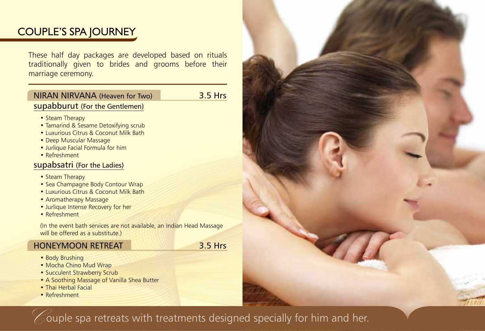# COUPLE'S SPA JOURNEY

These half day packages are developed based on rituals traditionally given to brides and grooms before their marriage ceremony.

# NIRAN NIRVANA (Heaven for Two) 3.5 Hrs supabburut (For the Gentlemen)

- Steam Therapy
- Tamarind & Sesame Detoxifying scrub
- Luxurious Citrus & Coconut Milk Bath
- Deep Muscular Massage
- Jurlique Facial Formula for him
- Refreshment

# supabsatri (For the Ladies)

- Steam Therapy
- Sea Champagne Body Contour Wrap
- Luxurious Citrus & Coconut Milk Bath
- Aromatherapy Massage
- Jurlique Intense Recovery for her
- Refreshment

(In the event bath services are not available, an Indian Head Massage will be offered as a substitute.)

# HONEYMOON RETREAT 3.5 Hrs

- Body Brushing
- Mocha Chino Mud Wrap
- Succulent Strawberry Scrub
- A Soothing Massage of Vanilla Shea Butter
- Thai Herbal Facial
- Refreshment

 $\mathcal C$  ouple spa retreats with treatments designed specially for him and her.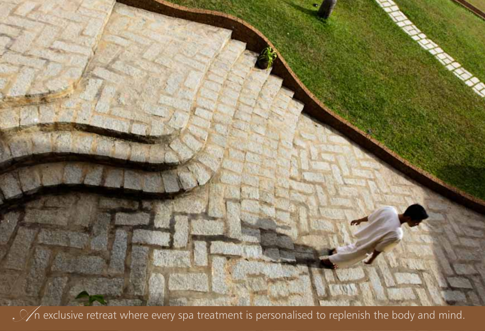

 $\sqrt{\phantom{a}}$   $\sqrt{\phantom{a}}$  exclusive retreat where every spa treatment is personalised to replenish the body and mind.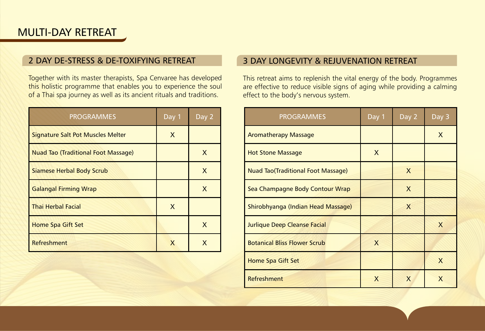# MULTI-DAY RETREAT

# 2 Day De-stress & De-toxifying Retreat

Together with its master therapists, Spa Cenvaree has developed this holistic programme that enables you to experience the soul of a Thai spa journey as well as its ancient rituals and traditions.

| <b>PROGRAMMES</b>                          | Day 1 | Day 2 |
|--------------------------------------------|-------|-------|
| Signature Salt Pot Muscles Melter          | X     |       |
| <b>Nuad Tao (Traditional Foot Massage)</b> |       | X     |
| Siamese Herbal Body Scrub                  |       | X     |
| <b>Galangal Firming Wrap</b>               |       | X     |
| <b>Thai Herbal Facial</b>                  | X     |       |
| Home Spa Gift Set                          |       | X     |
| <b>Refreshment</b>                         | X     | x     |

## 3 Day Longevity & Rejuvenation Retreat

This retreat aims to replenish the vital energy of the body. Programmes are effective to reduce visible signs of aging while providing a calming effect to the body's nervous system.

| <b>PROGRAMMES</b>                         | Day 1 | Day 2 | Day 3 |
|-------------------------------------------|-------|-------|-------|
| <b>Aromatherapy Massage</b>               |       |       | X     |
| <b>Hot Stone Massage</b>                  | X     |       |       |
| <b>Nuad Tao(Traditional Foot Massage)</b> |       | X     |       |
| Sea Champagne Body Contour Wrap           |       | X     |       |
| Shirobhyanga (Indian Head Massage)        |       | X     |       |
| Jurlique Deep Cleanse Facial              |       |       | X     |
| <b>Botanical Bliss Flower Scrub</b>       | X     |       |       |
| Home Spa Gift Set                         |       |       | X     |
| Refreshment                               | X     | X     | X     |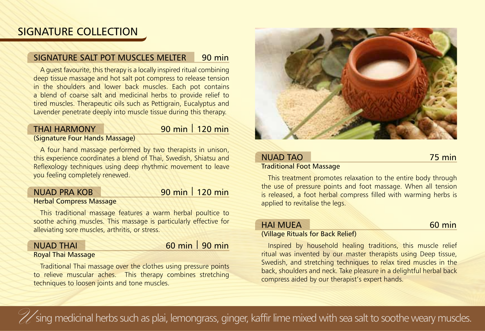# SIGNATURE COLLECTION

# SIGNATURE SAIT POT MUSCLES MELTER 90 min

A guest favourite, this therapy is a locally inspired ritual combining deep tissue massage and hot salt pot compress to release tension in the shoulders and lower back muscles. Each pot contains a blend of coarse salt and medicinal herbs to provide relief to tired muscles. Therapeutic oils such as Pettigrain, Eucalyptus and Lavender penetrate deeply into muscle tissue during this therapy.

# THAI HARMONY 90 min 120 min

(Signature Four Hands Massage)

A four hand massage performed by two therapists in unison, this experience coordinates a blend of Thai, Swedish, Shiatsu and Reflexology techniques using deep rhythmic movement to leave you feeling completely renewed.

# Nuad Pra Kob 90 min | 120 min

### Herbal Compress Massage

This traditional massage features a warm herbal poultice to soothe aching muscles. This massage is particularly effective for alleviating sore muscles, arthritis, or stress.

# NUAD THAI 60 min 90 min

#### Royal Thai Massage

Traditional Thai massage over the clothes using pressure points to relieve muscular aches. This therapy combines stretching techniques to loosen joints and tone muscles.



### NUAD TAO **75 min** Traditional Foot Massage

This treatment promotes relaxation to the entire body through the use of pressure points and foot massage. When all tension is released, a foot herbal compress filled with warming herbs is applied to revitalise the legs.

# HAI MUFA 60 min

### (Village Rituals for Back Relief)

Inspired by household healing traditions, this muscle relief ritual was invented by our master therapists using Deep tissue, Swedish, and stretching techniques to relax tired muscles in the back, shoulders and neck. Take pleasure in a delightful herbal back compress aided by our therapist's expert hands.

Sing medicinal herbs such as plai, lemongrass, ginger, kaffir lime mixed with sea salt to soothe weary muscles.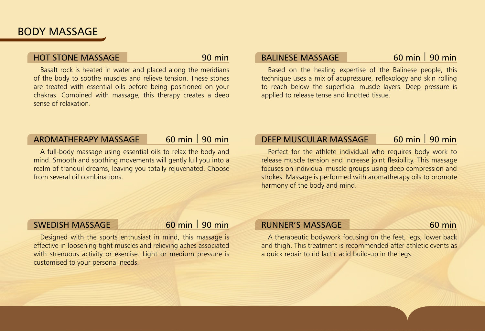# BODY MASSAGE

# Hot Stone Massage 90 min

Basalt rock is heated in water and placed along the meridians of the body to soothe muscles and relieve tension. These stones are treated with essential oils before being positioned on your chakras. Combined with massage, this therapy creates a deep sense of relaxation.

# BALINESE MASSAGE 60 min 90 min

Based on the healing expertise of the Balinese people, this technique uses a mix of acupressure, reflexology and skin rolling to reach below the superficial muscle layers. Deep pressure is applied to release tense and knotted tissue.

# AROMATHERAPY MASSAGE 60 min | 90 min

A full-body massage using essential oils to relax the body and mind. Smooth and soothing movements will gently lull you into a realm of tranquil dreams, leaving you totally rejuvenated. Choose from several oil combinations.

# DEEP MUSCULAR MASSAGE 60 min | 90 min

Perfect for the athlete individual who requires body work to release muscle tension and increase joint flexibility. This massage focuses on individual muscle groups using deep compression and strokes. Massage is performed with aromatherapy oils to promote harmony of the body and mind.

# SWEDISH MASSAGE 60 min | 90 min

Designed with the sports enthusiast in mind, this massage is effective in loosening tight muscles and relieving aches associated with strenuous activity or exercise. Light or medium pressure is customised to your personal needs.

# RUNNER'S MASSAGE 60 min

A therapeutic bodywork focusing on the feet, legs, lower back and thigh. This treatment is recommended after athletic events as a quick repair to rid lactic acid build-up in the legs.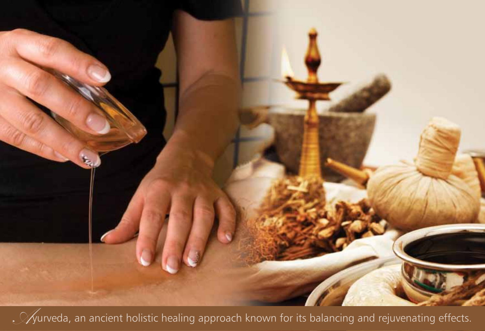

 $\mathcal{A}_1$  an ancient holistic healing approach known for its balancing and rejuvenating effects.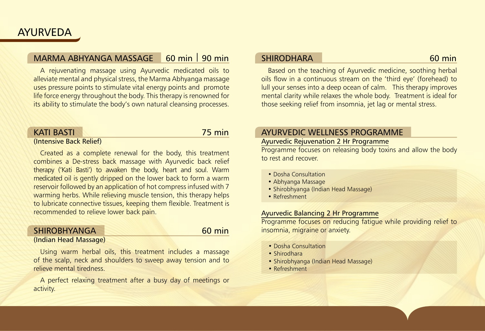# MARMA ABHYANGA MASSAGE 60 min 90 min

A rejuvenating massage using Ayurvedic medicated oils to alleviate mental and physical stress, the Marma Abhyanga massage uses pressure points to stimulate vital energy points and promote life force energy throughout the body. This therapy is renowned for its ability to stimulate the body's own natural cleansing processes.

#### Kati Basti 75 min (Intensive Back Relief)

Created as a complete renewal for the body, this treatment combines a De-stress back massage with Ayurvedic back relief therapy ('Kati Basti') to awaken the body, heart and soul. Warm medicated oil is gently dripped on the lower back to form a warm reservoir followed by an application of hot compress infused with 7 warming herbs. While relieving muscle tension, this therapy helps to lubricate connective tissues, keeping them flexible. Treatment is recommended to relieve lower back pain.

#### SHIROBHYANGA 60 min (Indian Head Massage)

Using warm herbal oils, this treatment includes a massage of the scalp, neck and shoulders to sweep away tension and to relieve mental tiredness.

A perfect relaxing treatment after a busy day of meetings or activity.

## SHIRODHARA 60 min

Based on the teaching of Ayurvedic medicine, soothing herbal oils flow in a continuous stream on the 'third eye' (forehead) to lull your senses into a deep ocean of calm. This therapy improves mental clarity while relaxes the whole body. Treatment is ideal for those seeking relief from insomnia, jet lag or mental stress.

# AYURVEDIC WELLNESS PROGRAMME

# Ayurvedic Rejuvenation 2 Hr Programme

Programme focuses on releasing body toxins and allow the body to rest and recover.

- Dosha Consultation
- Abhyanga Massage
- Shirobhyanga (Indian Head Massage)
- Refreshment

### Ayurvedic Balancing 2 Hr Programme

Programme focuses on reducing fatigue while providing relief to insomnia, migraine or anxiety.

- Dosha Consultation
- Shirodhara
- Shirobhyanga (Indian Head Massage)
- Refreshment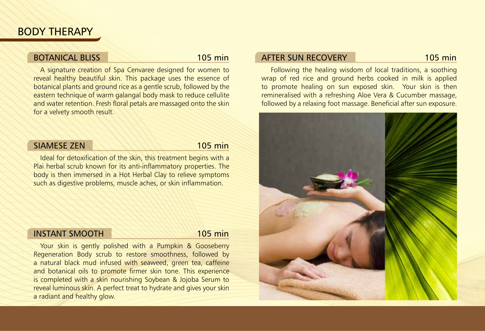# BODY THERAPY

# BOTANICAL BLISS 105 min

A signature creation of Spa Cenvaree designed for women to reveal healthy beautiful skin. This package uses the essence of botanical plants and ground rice as a gentle scrub, followed by the eastern technique of warm galangal body mask to reduce cellulite and water retention. Fresh floral petals are massaged onto the skin for a velvety smooth result.

# SIAMESE ZEN 105 min

Ideal for detoxification of the skin, this treatment begins with a Plai herbal scrub known for its anti-inflammatory properties. The body is then immersed in a Hot Herbal Clay to relieve symptoms such as digestive problems, muscle aches, or skin inflammation.

### Instant Smooth 105 min

Your skin is gently polished with a Pumpkin & Gooseberry Regeneration Body scrub to restore smoothness, followed by a natural black mud infused with seaweed, green tea, caffeine and botanical oils to promote firmer skin tone. This experience is completed with a skin nourishing Soybean & Jojoba Serum to reveal luminous skin. A perfect treat to hydrate and gives your skin a radiant and healthy glow.

## AFTER SUN RECOVERY 105 min

 Following the healing wisdom of local traditions, a soothing wrap of red rice and ground herbs cooked in milk is applied to promote healing on sun exposed skin. Your skin is then remineralised with a refreshing Aloe Vera & Cucumber massage, followed by a relaxing foot massage. Beneficial after sun exposure.

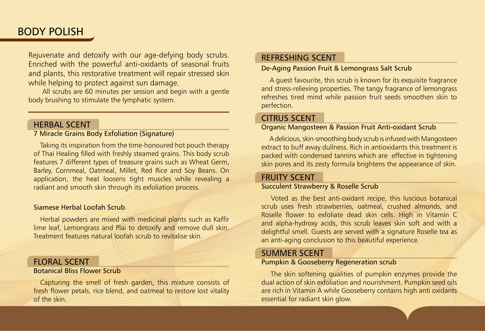# BODY POLISH

Rejuvenate and detoxify with our age-defying body scrubs. Enriched with the powerful anti-oxidants of seasonal fruits and plants, this restorative treatment will repair stressed skin while helping to protect against sun damage.

 All scrubs are 60 minutes per session and begin with a gentle body brushing to stimulate the lymphatic system.

### HERBAL SCENT

### 7 Miracle Grains Body Exfoliation (Signature)

Taking its inspiration from the time-honoured hot pouch therapy of Thai Healing filled with freshly steamed grains. This body scrub features 7 different types of treasure grains such as Wheat Germ, Barley, Cornmeal, Oatmeal, Millet, Red Rice and Soy Beans. On application, the heat loosens tight muscles while revealing a radiant and smooth skin through its exfoliation process.

#### Siamese Herbal Loofah Scrub

Herbal powders are mixed with medicinal plants such as Kaffir lime leaf, Lemongrass and Plai to detoxify and remove dull skin. Treatment features natural loofah scrub to revitalise skin.

### FLORAL SCENT

#### Botanical Bliss Flower Scrub

Capturing the smell of fresh garden, this mixture consists of fresh flower petals, rice blend, and oatmeal to restore lost vitality of the skin.

### REFRESHING SCENT

#### De-Aging Passion Fruit & Lemongrass Salt Scrub

 A guest favourite, this scrub is known for its exquisite fragrance and stress-relieving properties. The tangy fragrance of lemongrass refreshes tired mind while passion fruit seeds smoothen skin to perfection.

### CITRUS SCENT

### Organic Mangosteen & Passion Fruit Anti-oxidant Scrub

 A delicious, skin-smoothing body scrub is infused with Mangosteen extract to buff away dullness. Rich in antioxidants this treatment is packed with condensed tannins which are effective in tightening skin pores and its zesty formula brightens the appearance of skin.

### FRUITY SCENT

#### Succulent Strawberry & Roselle Scrub

 Voted as the best anti-oxidant recipe, this luscious botanical scrub uses fresh strawberries, oatmeal, crushed almonds, and Roselle flower to exfoliate dead skin cells. High in Vitamin C and alpha-hydroxy acids, this scrub leaves skin soft and with a delightful smell. Guests are served with a signature Roselle tea as an anti-aging conclusion to this beautiful experience.

### SUMMER SCENT

#### Pumpkin & Gooseberry Regeneration scrub

 The skin softening qualities of pumpkin enzymes provide the dual action of skin exfoliation and nourishment. Pumpkin seed oils are rich in Vitamin A while Gooseberry contains high anti oxidants essential for radiant skin glow.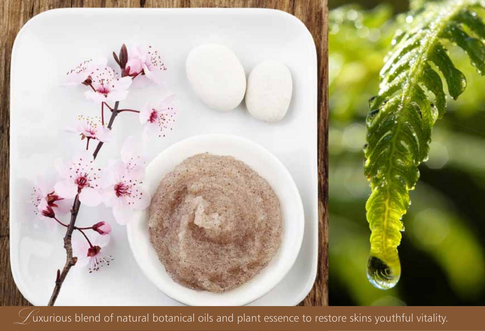

 $\mathcal D$ uxurious blend of natural botanical oils and plant essence to restore skins youthful vitality.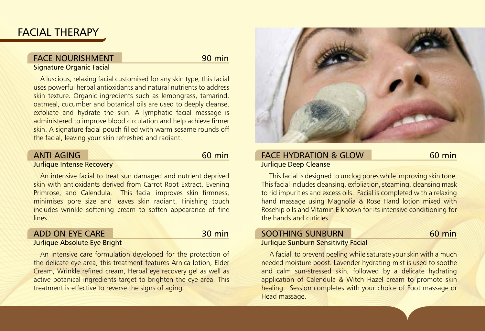# FACIAL THERAPY

# FACE NOURISHMENT 90 min

#### Signature Organic Facial

A luscious, relaxing facial customised for any skin type, this facial uses powerful herbal antioxidants and natural nutrients to address skin texture. Organic ingredients such as lemongrass, tamarind, oatmeal, cucumber and botanical oils are used to deeply cleanse, exfoliate and hydrate the skin. A lymphatic facial massage is administered to improve blood circulation and help achieve firmer skin. A signature facial pouch filled with warm sesame rounds off the facial, leaving your skin refreshed and radiant.

## ANTI AGING 60 min

#### Jurlique Intense Recovery

An intensive facial to treat sun damaged and nutrient deprived skin with antioxidants derived from Carrot Root Extract, Evening Primrose, and Calendula. This facial improves skin firmness, minimises pore size and leaves skin radiant. Finishing touch includes wrinkle softening cream to soften appearance of fine lines.

### ADD ON EYE CARE 30 min

#### Jurlique Absolute Eye Bright

An intensive care formulation developed for the protection of the delicate eye area, this treatment features Arnica lotion, Elder Cream, Wrinkle refined cream, Herbal eye recovery gel as well as active botanical ingredients target to brighten the eye area. This treatment is effective to reverse the signs of aging.



### FACE HYDRATION & GLOW Jurlique Deep Cleanse

 This facial is designed to unclog pores while improving skin tone. This facial includes cleansing, exfoliation, steaming, cleansing mask to rid impurities and excess oils. Facial is completed with a relaxing hand massage using Magnolia & Rose Hand lotion mixed with Rosehip oils and Vitamin E known for its intensive conditioning for the hands and cuticles.

# SOOTHING SUNBURN 60 min

#### Jurlique Sunburn Sensitivity Facial

 A facial to prevent peeling while saturate your skin with a much needed moisture boost. Lavender hydrating mist is used to soothe and calm sun-stressed skin, followed by a delicate hydrating application of Calendula & Witch Hazel cream to promote skin healing. Session completes with your choice of Foot massage or Head massage.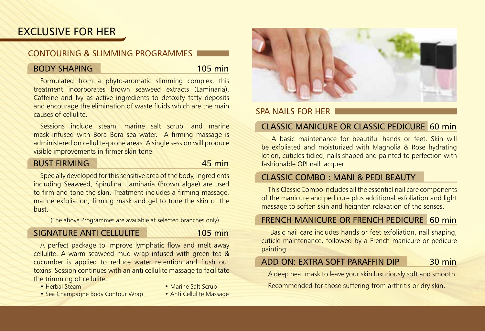# **EXCLUSIVE FOR HER**

# CONTOURING & SLIMMING PROGRAMMES

# BODY SHAPING 105 min

Formulated from a phyto-aromatic slimming complex, this treatment incorporates brown seaweed extracts (Laminaria), Caffeine and Ivy as active ingredients to detoxify fatty deposits and encourage the elimination of waste fluids which are the main causes of cellulite.

Sessions include steam, marine salt scrub, and marine mask infused with Bora Bora sea water. A firming massage is administered on cellulite-prone areas. A single session will produce visible improvements in firmer skin tone.

## BUST FIRMING 45 min

Specially developed for this sensitive area of the body, ingredients including Seaweed, Spirulina, Laminaria (Brown algae) are used to firm and tone the skin. Treatment includes a firming massage, marine exfoliation, firming mask and gel to tone the skin of the bust.

(The above Programmes are available at selected branches only)

# SIGNATURE ANTI CELLULITE 105 min

A perfect package to improve lymphatic flow and melt away cellulite. A warm seaweed mud wrap infused with green tea & cucumber is applied to reduce water retention and flush out toxins. Session continues with an anti cellulite massage to facilitate the trimming of cellulite.

- 
- Herbal Steam Marine Salt Scrub
- Sea Champagne Body Contour Wrap Anti Cellulite Massage
- 



# SPA NAILS FOR HER

# Classic Manicure or Classic Pedicure 60 min

 A basic maintenance for beautiful hands or feet. Skin will be exfoliated and moisturized with Magnolia & Rose hydrating lotion, cuticles tidied, nails shaped and painted to perfection with fashionable OPI nail lacquer.

# Classic Combo : Mani & Pedi Beauty

This Classic Combo includes all the essential nail care components of the manicure and pedicure plus additional exfoliation and light massage to soften skin and heighten relaxation of the senses.

# French Manicure or French Pedicure 60 min

 Basic nail care includes hands or feet exfoliation, nail shaping, cuticle maintenance, followed by a French manicure or pedicure painting.

# ADD ON: EXTRA SOFT PARAFFIN DIP 30 min

A deep heat mask to leave your skin luxuriously soft and smooth. Recommended for those suffering from arthritis or dry skin.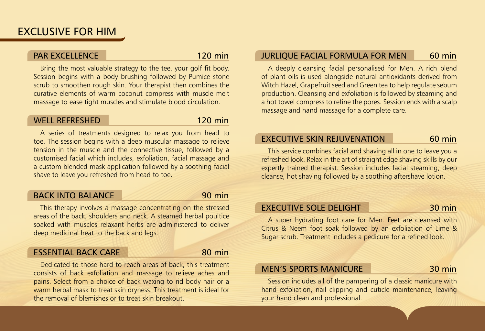# PAR EXCELLENCE 120 min

Bring the most valuable strategy to the tee, your golf fit body. Session begins with a body brushing followed by Pumice stone scrub to smoothen rough skin. Your therapist then combines the curative elements of warm coconut compress with muscle melt massage to ease tight muscles and stimulate blood circulation.

### Well Refreshed 120 min

A series of treatments designed to relax you from head to toe. The session begins with a deep muscular massage to relieve tension in the muscle and the connective tissue, followed by a customised facial which includes, exfoliation, facial massage and a custom blended mask application followed by a soothing facial shave to leave you refreshed from head to toe.

# BACK INTO BALANCE 90 min

This therapy involves a massage concentrating on the stressed areas of the back, shoulders and neck. A steamed herbal poultice soaked with muscles relaxant herbs are administered to deliver deep medicinal heat to the back and legs.

### ESSENTIAL BACK CARE 80 min

Dedicated to those hard-to-reach areas of back, this treatment consists of back exfoliation and massage to relieve aches and pains. Select from a choice of back waxing to rid body hair or a warm herbal mask to treat skin dryness. This treatment is ideal for the removal of blemishes or to treat skin breakout.

# JURLIQUE FACIAL FORMULA FOR MEN 60 min

A deeply cleansing facial personalised for Men. A rich blend of plant oils is used alongside natural antioxidants derived from Witch Hazel, Grapefruit seed and Green tea to help regulate sebum production. Cleansing and exfoliation is followed by steaming and a hot towel compress to refine the pores. Session ends with a scalp massage and hand massage for a complete care.

# EXECUTIVE SKIN REJUVENATION 60 min

This service combines facial and shaving all in one to leave you a refreshed look. Relax in the art of straight edge shaving skills by our expertly trained therapist. Session includes facial steaming, deep cleanse, hot shaving followed by a soothing aftershave lotion.

# EXECUTIVE SOLE DELIGHT 30 min

A super hydrating foot care for Men. Feet are cleansed with Citrus & Neem foot soak followed by an exfoliation of Lime & Sugar scrub. Treatment includes a pedicure for a refined look.

## MEN'S SPORTS MANICURE 30 min

Session includes all of the pampering of a classic manicure with hand exfoliation, nail clipping and cuticle maintenance, leaving your hand clean and professional.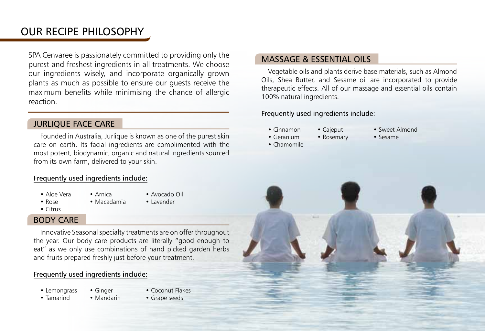# Our Recipe philosophy

SPA Cenvaree is passionately committed to providing only the purest and freshest ingredients in all treatments. We choose our ingredients wisely, and incorporate organically grown plants as much as possible to ensure our guests receive the maximum benefits while minimising the chance of allergic reaction.

# Jurlique Face Care

Founded in Australia, Jurlique is known as one of the purest skin care on earth. Its facial ingredients are complimented with the most potent, biodynamic, organic and natural ingredients sourced from its own farm, delivered to your skin.

### Frequently used ingredients include:

- 
- Aloe Vera Arnica Avocado Oil
- 
- Rose Macadamia Lavender
- Citrus

### Body Care

Innovative Seasonal specialty treatments are on offer throughout the year. Our body care products are literally "good enough to eat" as we only use combinations of hand picked garden herbs and fruits prepared freshly just before your treatment.

#### Frequently used ingredients include:

- 
- Lemongrass Ginger Coconut Flakes
- Tamarind Mandarin Grape seeds
- 

# Massage & Essential Oils

Vegetable oils and plants derive base materials, such as Almond Oils, Shea Butter, and Sesame oil are incorporated to provide therapeutic effects. All of our massage and essential oils contain 100% natural ingredients.

### Frequently used ingredients include:

- Cinnamon Cajeput Sweet Almond
- Geranium Rosemary Sesame
- -

• Chamomile